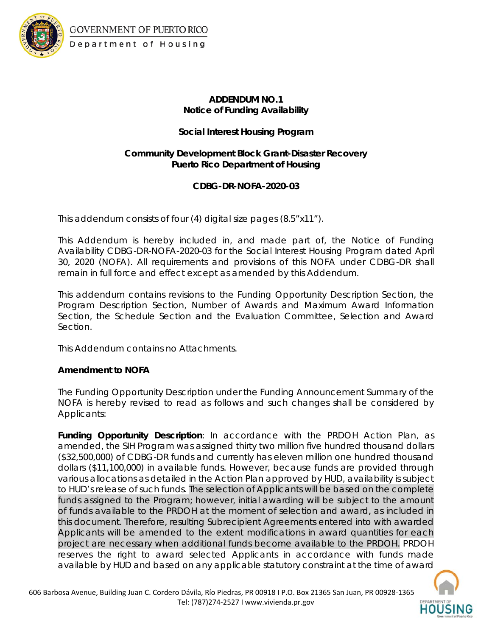

GOVERNMENT OF PUERTO RICO Department of Housing

# **ADDENDUM NO.1 Notice of Funding Availability**

## **Social Interest Housing Program**

### **Community Development Block Grant-Disaster Recovery Puerto Rico Department of Housing**

## **CDBG-DR-NOFA-2020-03**

This addendum consists of four (4) digital size pages (8.5"x11").

This Addendum is hereby included in, and made part of, the Notice of Funding Availability CDBG-DR-NOFA-2020-03 for the Social Interest Housing Program dated April 30, 2020 (NOFA). All requirements and provisions of this NOFA under CDBG-DR shall remain in full force and effect except as amended by this Addendum.

This addendum contains revisions to the Funding Opportunity Description Section, the Program Description Section, Number of Awards and Maximum Award Information Section, the Schedule Section and the Evaluation Committee, Selection and Award Section.

This Addendum contains no Attachments.

## **Amendment to NOFA**

The Funding Opportunity Description under the Funding Announcement Summary of the NOFA is hereby revised to read as follows and such changes shall be considered by Applicants:

**Funding Opportunity Description**: In accordance with the PRDOH Action Plan, as amended, the SIH Program was assigned thirty two million five hundred thousand dollars (\$32,500,000) of CDBG-DR funds and currently has eleven million one hundred thousand dollars (\$11,100,000) in available funds. However, because funds are provided through various allocations as detailed in the Action Plan approved by HUD, availability is subject to HUD's release of such funds. The selection of Applicants will be based on the complete funds assigned to the Program; however, initial awarding will be subject to the amount of funds available to the PRDOH at the moment of selection and award, as included in this document. Therefore, resulting Subrecipient Agreements entered into with awarded Applicants will be amended to the extent modifications in award quantities for each project are necessary when additional funds become available to the PRDOH. PRDOH reserves the right to award selected Applicants in accordance with funds made available by HUD and based on any applicable statutory constraint at the time of award

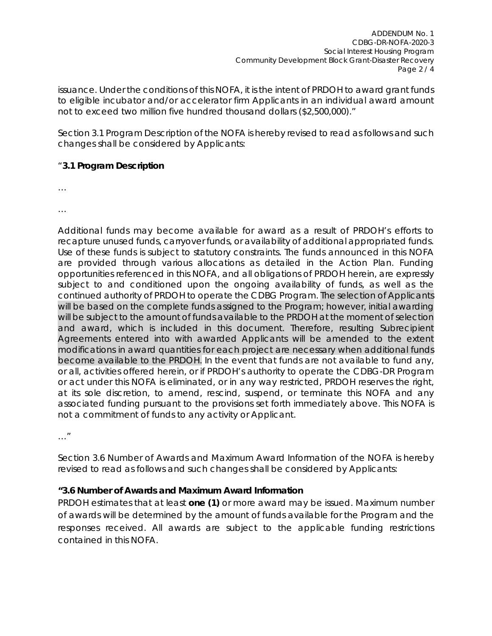issuance. Under the conditions of this NOFA, it is the intent of PRDOH to award grant funds to eligible incubator and/or accelerator firm Applicants in an individual award amount not to exceed two million five hundred thousand dollars (\$2,500,000)."

Section 3.1 Program Description of the NOFA is hereby revised to read as follows and such changes shall be considered by Applicants:

#### "**3.1 Program Description**

…

…

Additional funds may become available for award as a result of PRDOH's efforts to recapture unused funds, carryover funds, or availability of additional appropriated funds. Use of these funds is subject to statutory constraints. The funds announced in this NOFA are provided through various allocations as detailed in the Action Plan. Funding opportunities referenced in this NOFA, and all obligations of PRDOH herein, are expressly subject to and conditioned upon the ongoing availability of funds, as well as the continued authority of PRDOH to operate the CDBG Program. The selection of Applicants will be based on the complete funds assigned to the Program; however, initial awarding will be subject to the amount of funds available to the PRDOH at the moment of selection and award, which is included in this document. Therefore, resulting Subrecipient Agreements entered into with awarded Applicants will be amended to the extent modifications in award quantities for each project are necessary when additional funds become available to the PRDOH. In the event that funds are not available to fund any, or all, activities offered herein, or if PRDOH's authority to operate the CDBG-DR Program or act under this NOFA is eliminated, or in any way restricted, PRDOH reserves the right, at its sole discretion, to amend, rescind, suspend, or terminate this NOFA and any associated funding pursuant to the provisions set forth immediately above. This NOFA is not a commitment of funds to any activity or Applicant.

…"

Section 3.6 Number of Awards and Maximum Award Information of the NOFA is hereby revised to read as follows and such changes shall be considered by Applicants:

### **"3.6 Number of Awards and Maximum Award Information**

PRDOH estimates that at least **one (1)** or more award may be issued. Maximum number of awards will be determined by the amount of funds available for the Program and the responses received. All awards are subject to the applicable funding restrictions contained in this NOFA.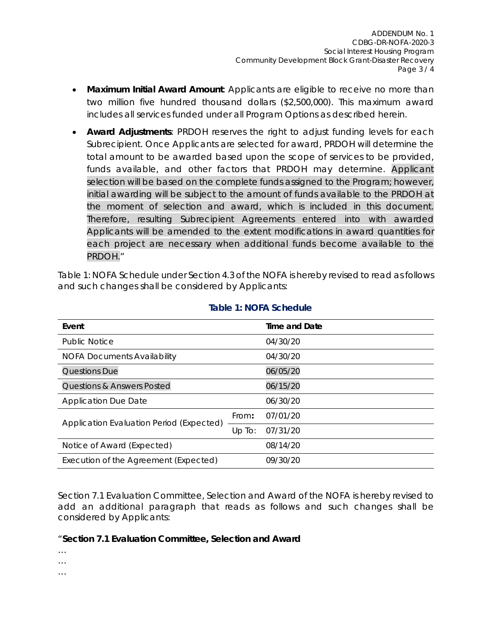- **Maximum Initial Award Amount**: Applicants are eligible to receive no more than two million five hundred thousand dollars (\$2,500,000). This maximum award includes all services funded under all Program Options as described herein.
- **Award Adjustments**: PRDOH reserves the right to adjust funding levels for each Subrecipient. Once Applicants are selected for award, PRDOH will determine the total amount to be awarded based upon the scope of services to be provided, funds available, and other factors that PRDOH may determine. Applicant selection will be based on the complete funds assigned to the Program; however, initial awarding will be subject to the amount of funds available to the PRDOH at the moment of selection and award, which is included in this document. Therefore, resulting Subrecipient Agreements entered into with awarded Applicants will be amended to the extent modifications in award quantities for each project are necessary when additional funds become available to the PRDOH."

Table 1: NOFA Schedule under Section 4.3 of the NOFA is hereby revised to read as follows and such changes shall be considered by Applicants:

| Event                                    |        | Time and Date |
|------------------------------------------|--------|---------------|
| <b>Public Notice</b>                     |        | 04/30/20      |
| NOFA Documents Availability              |        | 04/30/20      |
| <b>Questions Due</b>                     |        | 06/05/20      |
| <b>Questions &amp; Answers Posted</b>    |        | 06/15/20      |
| <b>Application Due Date</b>              |        | 06/30/20      |
| Application Evaluation Period (Expected) | From:  | 07/01/20      |
|                                          | Up To: | 07/31/20      |
| Notice of Award (Expected)               |        | 08/14/20      |
| Execution of the Agreement (Expected)    |        | 09/30/20      |

#### **Table 1: NOFA Schedule**

Section 7.1 Evaluation Committee, Selection and Award of the NOFA is hereby revised to add an additional paragraph that reads as follows and such changes shall be considered by Applicants:

#### "**Section 7.1 Evaluation Committee, Selection and Award**

…

…

…